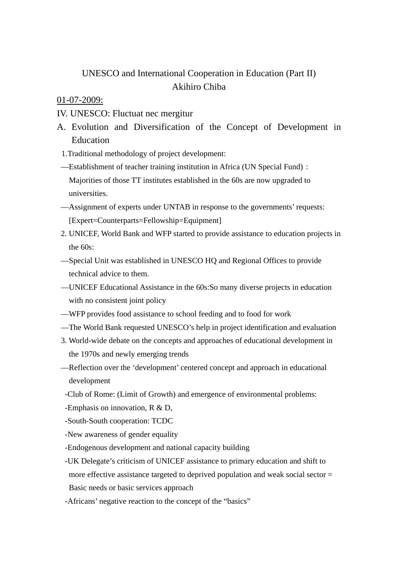# UNESCO and International Cooperation in Education (Part II) Akihiro Chiba

01-07-2009:

IV. UNESCO: Fluctuat nec mergitur

- A. Evolution and Diversification of the Concept of Development in Education
	- 1.Traditional methodology of project development:
- —Establishment of teacher training institution in Africa (UN Special Fund): Majorities of those TT institutes established in the 60s are now upgraded to universities.
- —Assignment of experts under UNTAB in response to the governments' requests: [Expert=Counterparts=Fellowship=Equipment]
- 2. UNICEF, World Bank and WFP started to provide assistance to education projects in the 60s:
- —Special Unit was established in UNESCO HQ and Regional Offices to provide technical advice to them.
- —UNICEF Educational Assistance in the 60s:So many diverse projects in education with no consistent joint policy
- —WFP provides food assistance to school feeding and to food for work
- —The World Bank requested UNESCO's help in project identification and evaluation
- 3. World-wide debate on the concepts and approaches of educational development in the 1970s and newly emerging trends
- —Reflection over the 'development' centered concept and approach in educational development
- -Club of Rome: (Limit of Growth) and emergence of environmental problems:
- -Emphasis on innovation, R & D,
- -South-South cooperation: TCDC
- -New awareness of gender equality
- -Endogenous development and national capacity building
- -UK Delegate's criticism of UNICEF assistance to primary education and shift to more effective assistance targeted to deprived population and weak social sector = Basic needs or basic services approach
- -Africans' negative reaction to the concept of the "basics"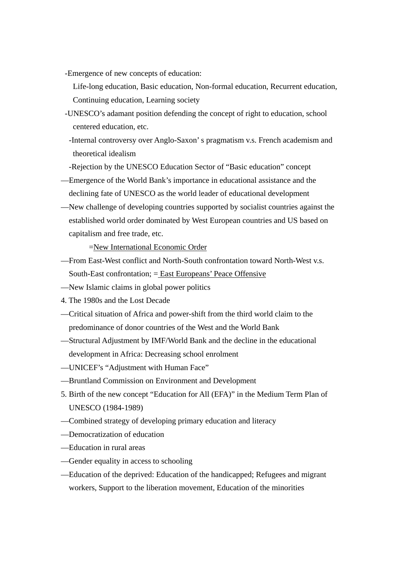- -Emergence of new concepts of education:
	- Life-long education, Basic education, Non-formal education, Recurrent education, Continuing education, Learning society
- -UNESCO's adamant position defending the concept of right to education, school centered education, etc.
	- -Internal controversy over Anglo-Saxon' s pragmatism v.s. French academism and theoretical idealism
- -Rejection by the UNESCO Education Sector of "Basic education" concept
- —Emergence of the World Bank's importance in educational assistance and the declining fate of UNESCO as the world leader of educational development
- —New challenge of developing countries supported by socialist countries against the established world order dominated by West European countries and US based on capitalism and free trade, etc.

=New International Economic Order

- —From East-West conflict and North-South confrontation toward North-West v.s. South-East confrontation; = East Europeans' Peace Offensive
- —New Islamic claims in global power politics
- 4. The 1980s and the Lost Decade
- —Critical situation of Africa and power-shift from the third world claim to the predominance of donor countries of the West and the World Bank
- —Structural Adjustment by IMF/World Bank and the decline in the educational development in Africa: Decreasing school enrolment
- —UNICEF's "Adjustment with Human Face"
- —Bruntland Commission on Environment and Development
- 5. Birth of the new concept "Education for All (EFA)" in the Medium Term Plan of UNESCO (1984-1989)
- —Combined strategy of developing primary education and literacy
- —Democratization of education
- —Education in rural areas
- —Gender equality in access to schooling
- —Education of the deprived: Education of the handicapped; Refugees and migrant workers, Support to the liberation movement, Education of the minorities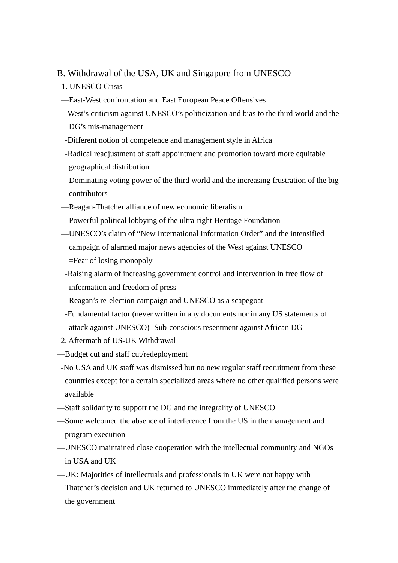## B. Withdrawal of the USA, UK and Singapore from UNESCO

- 1. UNESCO Crisis
- —East-West confrontation and East European Peace Offensives
- -West's criticism against UNESCO's politicization and bias to the third world and the DG's mis-management
- -Different notion of competence and management style in Africa
- -Radical readjustment of staff appointment and promotion toward more equitable geographical distribution
- —Dominating voting power of the third world and the increasing frustration of the big contributors
- —Reagan-Thatcher alliance of new economic liberalism
- —Powerful political lobbying of the ultra-right Heritage Foundation
- —UNESCO's claim of "New International Information Order" and the intensified campaign of alarmed major news agencies of the West against UNESCO =Fear of losing monopoly
- -Raising alarm of increasing government control and intervention in free flow of information and freedom of press
- —Reagan's re-election campaign and UNESCO as a scapegoat
- -Fundamental factor (never written in any documents nor in any US statements of attack against UNESCO) -Sub-conscious resentment against African DG
- 2. Aftermath of US-UK Withdrawal
- —Budget cut and staff cut/redeployment
- -No USA and UK staff was dismissed but no new regular staff recruitment from these countries except for a certain specialized areas where no other qualified persons were available
- —Staff solidarity to support the DG and the integrality of UNESCO
- —Some welcomed the absence of interference from the US in the management and program execution
- —UNESCO maintained close cooperation with the intellectual community and NGOs in USA and UK
- —UK: Majorities of intellectuals and professionals in UK were not happy with Thatcher's decision and UK returned to UNESCO immediately after the change of the government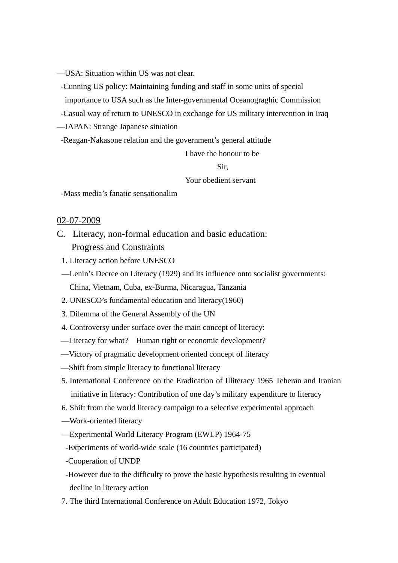—USA: Situation within US was not clear.

-Cunning US policy: Maintaining funding and staff in some units of special

importance to USA such as the Inter-governmental Oceanograghic Commission

-Casual way of return to UNESCO in exchange for US military intervention in Iraq

—JAPAN: Strange Japanese situation

-Reagan-Nakasone relation and the government's general attitude

I have the honour to be

## Sir,

Your obedient servant

-Mass media's fanatic sensationalim

#### 02-07-2009

- C. Literacy, non-formal education and basic education: Progress and Constraints
	- 1. Literacy action before UNESCO
	- —Lenin's Decree on Literacy (1929) and its influence onto socialist governments: China, Vietnam, Cuba, ex-Burma, Nicaragua, Tanzania
	- 2. UNESCO's fundamental education and literacy(1960)
	- 3. Dilemma of the General Assembly of the UN
	- 4. Controversy under surface over the main concept of literacy:
	- —Literacy for what? Human right or economic development?
	- —Victory of pragmatic development oriented concept of literacy
	- —Shift from simple literacy to functional literacy
	- 5. International Conference on the Eradication of Illiteracy 1965 Teheran and Iranian initiative in literacy: Contribution of one day's military expenditure to literacy
	- 6. Shift from the world literacy campaign to a selective experimental approach
	- —Work-oriented literacy
	- —Experimental World Literacy Program (EWLP) 1964-75
	- -Experiments of world-wide scale (16 countries participated)
	- -Cooperation of UNDP
	- -However due to the difficulty to prove the basic hypothesis resulting in eventual decline in literacy action
	- 7. The third International Conference on Adult Education 1972, Tokyo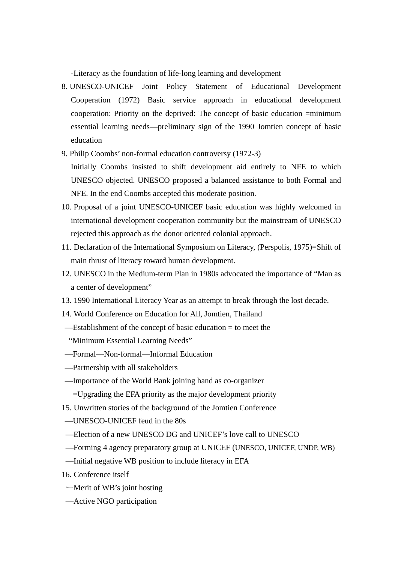-Literacy as the foundation of life-long learning and development

- 8. UNESCO-UNICEF Joint Policy Statement of Educational Development Cooperation (1972) Basic service approach in educational development cooperation: Priority on the deprived: The concept of basic education =minimum essential learning needs—preliminary sign of the 1990 Jomtien concept of basic education
- 9. Philip Coombs' non-formal education controversy (1972-3)

Initially Coombs insisted to shift development aid entirely to NFE to which UNESCO objected. UNESCO proposed a balanced assistance to both Formal and NFE. In the end Coombs accepted this moderate position.

- 10. Proposal of a joint UNESCO-UNICEF basic education was highly welcomed in international development cooperation community but the mainstream of UNESCO rejected this approach as the donor oriented colonial approach.
- 11. Declaration of the International Symposium on Literacy, (Perspolis, 1975)=Shift of main thrust of literacy toward human development.
- 12. UNESCO in the Medium-term Plan in 1980s advocated the importance of "Man as a center of development"
- 13. 1990 International Literacy Year as an attempt to break through the lost decade.
- 14. World Conference on Education for All, Jomtien, Thailand
- —Establishment of the concept of basic education = to meet the "Minimum Essential Learning Needs"
- —Formal—Non-formal—Informal Education
- —Partnership with all stakeholders
- —Importance of the World Bank joining hand as co-organizer
	- =Upgrading the EFA priority as the major development priority
- 15. Unwritten stories of the background of the Jomtien Conference
- —UNESCO-UNICEF feud in the 80s
- —Election of a new UNESCO DG and UNICEF's love call to UNESCO
- —Forming 4 agency preparatory group at UNICEF (UNESCO, UNICEF, UNDP, WB)
- —Initial negative WB position to include literacy in EFA
- 16. Conference itself
- ーMerit of WB's joint hosting
- —Active NGO participation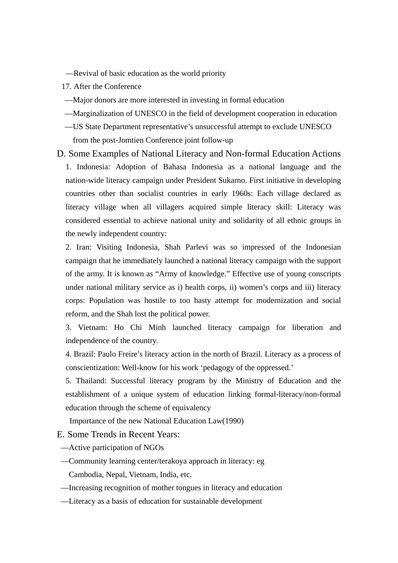- —Revival of basic education as the world priority
- 17. After the Conference
- —Major donors are more interested in investing in formal education
- —Marginalization of UNESCO in the field of development cooperation in education
- —US State Department representative's unsuccessful attempt to exclude UNESCO from the post-Jomtien Conference joint follow-up
- D. Some Examples of National Literacy and Non-formal Education Actions 1. Indonesia: Adoption of Bahasa Indonesia as a national language and the nation-wide literacy campaign under President Sukarno. First initiative in developing countries other than socialist countries in early 1960s: Each village declared as literacy village when all villagers acquired simple literacy skill: Literacy was considered essential to achieve national unity and solidarity of all ethnic groups in the newly independent country:

2. Iran: Visiting Indonesia, Shah Parlevi was so impressed of the Indonesian campaign that he immediately launched a national literacy campaign with the support of the army. It is known as "Army of knowledge." Effective use of young conscripts under national military service as i) health corps, ii) women's corps and iii) literacy corps: Population was hostile to too hasty attempt for modernization and social reform, and the Shah lost the political power.

3. Vietnam: Ho Chi Minh launched literacy campaign for liberation and independence of the country.

4. Brazil: Paulo Freire's literacy action in the north of Brazil. Literacy as a process of conscientization: Well-know for his work 'pedagogy of the oppressed.'

5. Thailand: Successful literacy program by the Ministry of Education and the establishment of a unique system of education linking formal-literacy/non-formal education through the scheme of equivalency

Importance of the new National Education Law(1990)

E. Some Trends in Recent Years:

—Active participation of NGOs

- —Community learning center/terakoya approach in literacy: eg Cambodia, Nepal, Vietnam, India, etc.
- —Increasing recognition of mother tongues in literacy and education
- —Literacy as a basis of education for sustainable development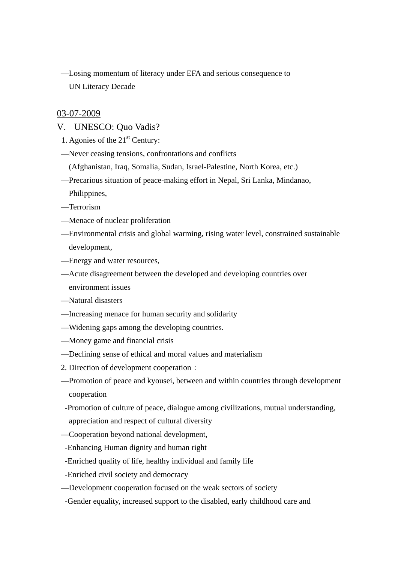—Losing momentum of literacy under EFA and serious consequence to UN Literacy Decade

### 03-07-2009

- V. UNESCO: Quo Vadis?
- 1. Agonies of the  $21<sup>st</sup>$  Century:
- —Never ceasing tensions, confrontations and conflicts
	- (Afghanistan, Iraq, Somalia, Sudan, Israel-Palestine, North Korea, etc.)
- —Precarious situation of peace-making effort in Nepal, Sri Lanka, Mindanao, Philippines,
- —Terrorism
- —Menace of nuclear proliferation
- —Environmental crisis and global warming, rising water level, constrained sustainable development,
- —Energy and water resources,
- —Acute disagreement between the developed and developing countries over environment issues
- —Natural disasters
- —Increasing menace for human security and solidarity
- —Widening gaps among the developing countries.
- —Money game and financial crisis
- —Declining sense of ethical and moral values and materialism
- 2. Direction of development cooperation:
- —Promotion of peace and kyousei, between and within countries through development cooperation
- -Promotion of culture of peace, dialogue among civilizations, mutual understanding, appreciation and respect of cultural diversity
- —Cooperation beyond national development,
- -Enhancing Human dignity and human right
- -Enriched quality of life, healthy individual and family life
- -Enriched civil society and democracy
- —Development cooperation focused on the weak sectors of society
- -Gender equality, increased support to the disabled, early childhood care and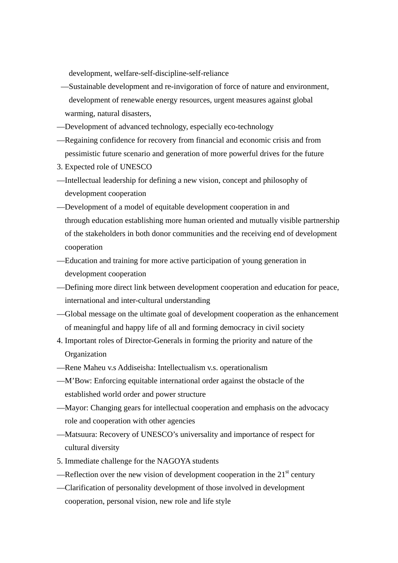development, welfare-self-discipline-self-reliance

- —Sustainable development and re-invigoration of force of nature and environment, development of renewable energy resources, urgent measures against global warming, natural disasters,
- —Development of advanced technology, especially eco-technology
- —Regaining confidence for recovery from financial and economic crisis and from pessimistic future scenario and generation of more powerful drives for the future
- 3. Expected role of UNESCO
- —Intellectual leadership for defining a new vision, concept and philosophy of development cooperation
- —Development of a model of equitable development cooperation in and through education establishing more human oriented and mutually visible partnership of the stakeholders in both donor communities and the receiving end of development cooperation
- —Education and training for more active participation of young generation in development cooperation
- —Defining more direct link between development cooperation and education for peace, international and inter-cultural understanding
- —Global message on the ultimate goal of development cooperation as the enhancement of meaningful and happy life of all and forming democracy in civil society
- 4. Important roles of Director-Generals in forming the priority and nature of the Organization
- —Rene Maheu v.s Addiseisha: Intellectualism v.s. operationalism
- —M'Bow: Enforcing equitable international order against the obstacle of the established world order and power structure
- —Mayor: Changing gears for intellectual cooperation and emphasis on the advocacy role and cooperation with other agencies
- —Matsuura: Recovery of UNESCO's universality and importance of respect for cultural diversity
- 5. Immediate challenge for the NAGOYA students
- —Reflection over the new vision of development cooperation in the  $21<sup>st</sup>$  century
- —Clarification of personality development of those involved in development cooperation, personal vision, new role and life style